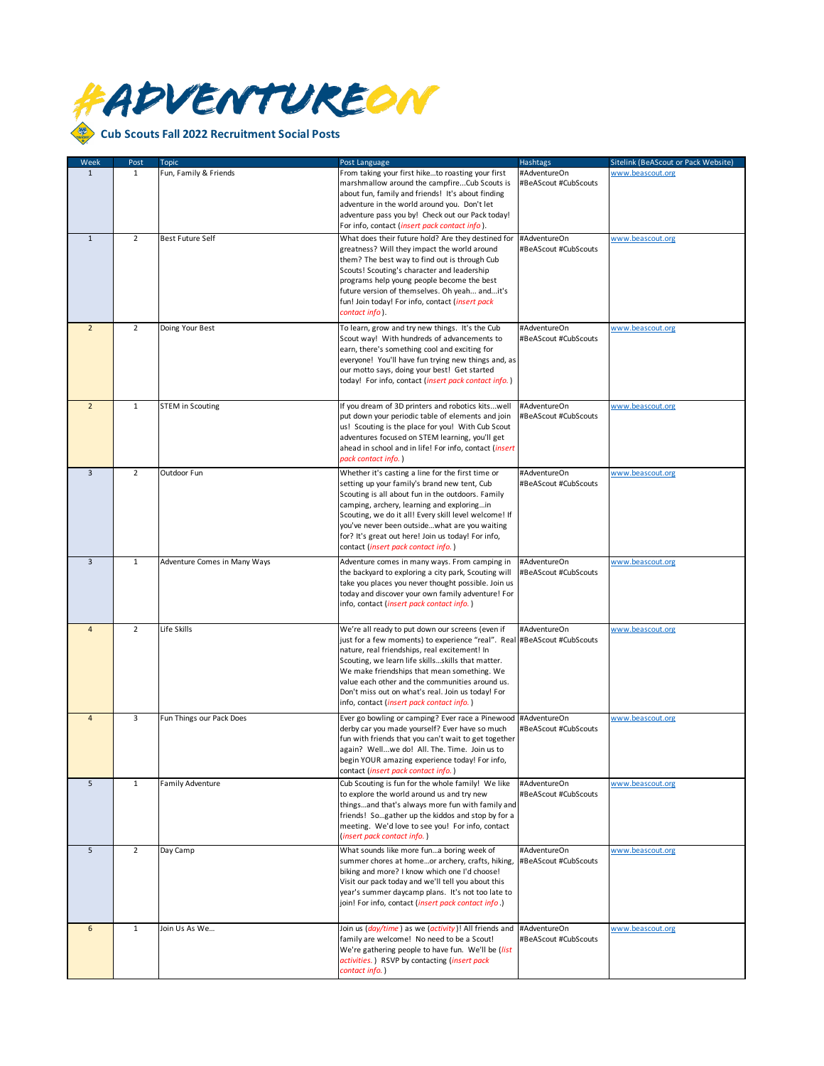

| Week           | Post           | Topic                        | Post Language                                                                                                                                                                                                                                                                                                                                                                                                                         | <b>Hashtags</b>                      | Sitelink (BeAScout or Pack Website) |
|----------------|----------------|------------------------------|---------------------------------------------------------------------------------------------------------------------------------------------------------------------------------------------------------------------------------------------------------------------------------------------------------------------------------------------------------------------------------------------------------------------------------------|--------------------------------------|-------------------------------------|
| $\mathbf{1}$   | $\mathbf{1}$   | Fun, Family & Friends        | From taking your first hiketo roasting your first<br>marshmallow around the campfireCub Scouts is<br>about fun, family and friends! It's about finding<br>adventure in the world around you. Don't let<br>adventure pass you by! Check out our Pack today!<br>For info, contact (insert pack contact info).                                                                                                                           | #AdventureOn<br>#BeAScout #CubScouts | www.beascout.org                    |
| $\mathbf{1}$   | $\overline{2}$ | <b>Best Future Self</b>      | What does their future hold? Are they destined for<br>greatness? Will they impact the world around<br>them? The best way to find out is through Cub<br>Scouts! Scouting's character and leadership<br>programs help young people become the best<br>future version of themselves. Oh yeah andit's<br>fun! Join today! For info, contact (insert pack<br>contact info).                                                                | #AdventureOn<br>#BeAScout #CubScouts | www.beascout.org                    |
| $\overline{2}$ | $\overline{2}$ | Doing Your Best              | To learn, grow and try new things. It's the Cub<br>Scout way! With hundreds of advancements to<br>earn, there's something cool and exciting for<br>everyone! You'll have fun trying new things and, as<br>our motto says, doing your best! Get started<br>today! For info, contact (insert pack contact info.)                                                                                                                        | #AdventureOn<br>#BeAScout #CubScouts | www.beascout.org                    |
| $\overline{2}$ | $\mathbf 1$    | <b>STEM in Scouting</b>      | If you dream of 3D printers and robotics kitswell<br>put down your periodic table of elements and join<br>us! Scouting is the place for you! With Cub Scout<br>adventures focused on STEM learning, you'll get<br>ahead in school and in life! For info, contact (insert<br>pack contact info.)                                                                                                                                       | #AdventureOn<br>#BeAScout #CubScouts | www.beascout.org                    |
| $\overline{3}$ | $\overline{2}$ | Outdoor Fun                  | Whether it's casting a line for the first time or<br>setting up your family's brand new tent, Cub<br>Scouting is all about fun in the outdoors. Family<br>camping, archery, learning and exploringin<br>Scouting, we do it all! Every skill level welcome! If<br>you've never been outsidewhat are you waiting<br>for? It's great out here! Join us today! For info,<br>contact (insert pack contact info.)                           | #AdventureOn<br>#BeAScout #CubScouts | www.beascout.org                    |
| 3              | $\mathbf 1$    | Adventure Comes in Many Ways | Adventure comes in many ways. From camping in<br>the backyard to exploring a city park, Scouting will<br>take you places you never thought possible. Join us<br>today and discover your own family adventure! For<br>info, contact (insert pack contact info.)                                                                                                                                                                        | #AdventureOn<br>#BeAScout #CubScouts | www.beascout.org                    |
| 4              | $\overline{2}$ | Life Skills                  | We're all ready to put down our screens (even if<br>just for a few moments) to experience "real". Real #BeAScout #CubScouts<br>nature, real friendships, real excitement! In<br>Scouting, we learn life skillsskills that matter.<br>We make friendships that mean something. We<br>value each other and the communities around us.<br>Don't miss out on what's real. Join us today! For<br>info, contact (insert pack contact info.) | #AdventureOn                         | www.beascout.org                    |
| $\overline{4}$ | 3              | Fun Things our Pack Does     | Ever go bowling or camping? Ever race a Pinewood<br>derby car you made yourself? Ever have so much<br>fun with friends that you can't wait to get together<br>again? Wellwe do! All. The. Time. Join us to<br>begin YOUR amazing experience today! For info,<br>contact (insert pack contact info.)                                                                                                                                   | #AdventureOn<br>#BeAScout #CubScouts | www.beascout.org                    |
| 5              | $\mathbf{1}$   | <b>Family Adventure</b>      | Cub Scouting is fun for the whole family! We like<br>to explore the world around us and try new<br>thingsand that's always more fun with family and<br>friends! Sogather up the kiddos and stop by for a<br>meeting. We'd love to see you! For info, contact<br>(insert pack contact info.)                                                                                                                                           | #AdventureOn<br>#BeAScout #CubScouts | www.beascout.org                    |
| 5              | $\overline{2}$ | Day Camp                     | What sounds like more funa boring week of<br>summer chores at homeor archery, crafts, hiking,<br>biking and more? I know which one I'd choose!<br>Visit our pack today and we'll tell you about this<br>year's summer daycamp plans. It's not too late to<br>join! For info, contact (insert pack contact info.)                                                                                                                      | #AdventureOn<br>#BeAScout #CubScouts | www.beascout.org                    |
| 6              | $\mathbf{1}$   | Join Us As We                | Join us (day/time) as we (activity)! All friends and<br>family are welcome! No need to be a Scout!<br>We're gathering people to have fun. We'll be (list<br>activities.) RSVP by contacting (insert pack<br>contact info.)                                                                                                                                                                                                            | #AdventureOn<br>#BeAScout #CubScouts | www.beascout.org                    |